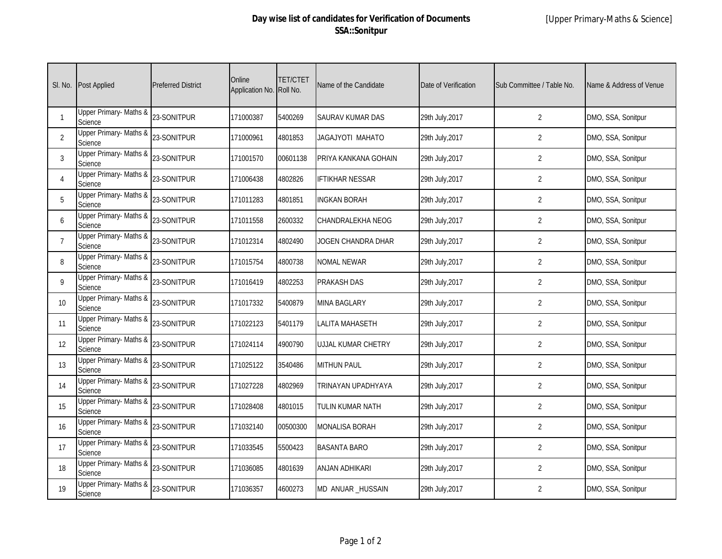| SI. No.         | <b>Post Applied</b>               | <b>Preferred District</b> | Online<br>Application No. | <b>TET/CTET</b><br>Roll No. | Name of the Candidate | Date of Verification | Sub Committee / Table No. | Name & Address of Venue |
|-----------------|-----------------------------------|---------------------------|---------------------------|-----------------------------|-----------------------|----------------------|---------------------------|-------------------------|
|                 | Upper Primary- Maths &<br>Science | 23-SONITPUR               | 171000387                 | 5400269                     | SAURAV KUMAR DAS      | 29th July, 2017      | $\overline{2}$            | DMO, SSA, Sonitpur      |
| 2               | Upper Primary- Maths &<br>Science | 23-SONITPUR               | 171000961                 | 4801853                     | JAGAJYOTI MAHATO      | 29th July, 2017      | $\overline{2}$            | DMO, SSA, Sonitpur      |
| 3               | Upper Primary- Maths &<br>Science | 23-SONITPUR               | 171001570                 | 00601138                    | PRIYA KANKANA GOHAIN  | 29th July, 2017      | $\overline{2}$            | DMO, SSA, Sonitpur      |
| 4               | Upper Primary- Maths &<br>Science | 23-SONITPUR               | 171006438                 | 4802826                     | IFTIKHAR NESSAR       | 29th July, 2017      | 2                         | DMO, SSA, Sonitpur      |
| 5               | Upper Primary- Maths &<br>Science | 23-SONITPUR               | 171011283                 | 4801851                     | INGKAN BORAH          | 29th July, 2017      | $\overline{2}$            | DMO, SSA, Sonitpur      |
| 6               | Upper Primary- Maths &<br>Science | 23-SONITPUR               | 171011558                 | 2600332                     | CHANDRALEKHA NEOG     | 29th July, 2017      | 2                         | DMO, SSA, Sonitpur      |
| $\overline{7}$  | Upper Primary- Maths &<br>Science | 23-SONITPUR               | 171012314                 | 4802490                     | JOGEN CHANDRA DHAR    | 29th July, 2017      | $\overline{2}$            | DMO, SSA, Sonitpur      |
| 8               | Upper Primary- Maths &<br>Science | 23-SONITPUR               | 171015754                 | 4800738                     | <b>NOMAL NEWAR</b>    | 29th July, 2017      | $\overline{2}$            | DMO, SSA, Sonitpur      |
| 9               | Upper Primary- Maths &<br>Science | 23-SONITPUR               | 171016419                 | 4802253                     | PRAKASH DAS           | 29th July, 2017      | $\overline{2}$            | DMO, SSA, Sonitpur      |
| 10 <sup>°</sup> | Upper Primary- Maths &<br>Science | 23-SONITPUR               | 171017332                 | 5400879                     | MINA BAGLARY          | 29th July, 2017      | $\overline{2}$            | DMO, SSA, Sonitpur      |
| 11              | Upper Primary- Maths &<br>Science | 23-SONITPUR               | 171022123                 | 5401179                     | LALITA MAHASETH       | 29th July, 2017      | $\overline{2}$            | DMO, SSA, Sonitpur      |
| 12              | Upper Primary- Maths &<br>Science | 23-SONITPUR               | 171024114                 | 4900790                     | UJJAL KUMAR CHETRY    | 29th July, 2017      | $\overline{2}$            | DMO, SSA, Sonitpur      |
| 13              | Upper Primary- Maths &<br>Science | 23-SONITPUR               | 171025122                 | 3540486                     | MITHUN PAUL           | 29th July, 2017      | $\overline{2}$            | DMO, SSA, Sonitpur      |
| 14              | Upper Primary- Maths &<br>Science | 23-SONITPUR               | 171027228                 | 4802969                     | TRINAYAN UPADHYAYA    | 29th July, 2017      | $\overline{2}$            | DMO, SSA, Sonitpur      |
| 15              | Upper Primary- Maths &<br>Science | 23-SONITPUR               | 171028408                 | 4801015                     | TULIN KUMAR NATH      | 29th July, 2017      | $\overline{2}$            | DMO, SSA, Sonitpur      |
| 16              | Upper Primary- Maths &<br>Science | 23-SONITPUR               | 171032140                 | 00500300                    | MONALISA BORAH        | 29th July, 2017      | $\overline{2}$            | DMO, SSA, Sonitpur      |
| 17              | Upper Primary- Maths &<br>Science | 23-SONITPUR               | 171033545                 | 5500423                     | <b>BASANTA BARO</b>   | 29th July, 2017      | $\overline{2}$            | DMO, SSA, Sonitpur      |
| 18              | Upper Primary- Maths &<br>Science | 23-SONITPUR               | 171036085                 | 4801639                     | ANJAN ADHIKARI        | 29th July, 2017      | $\overline{2}$            | DMO, SSA, Sonitpur      |
| 19              | Upper Primary- Maths &<br>Science | 23-SONITPUR               | 171036357                 | 4600273                     | MD ANUAR_HUSSAIN      | 29th July, 2017      | $\overline{2}$            | DMO, SSA, Sonitpur      |